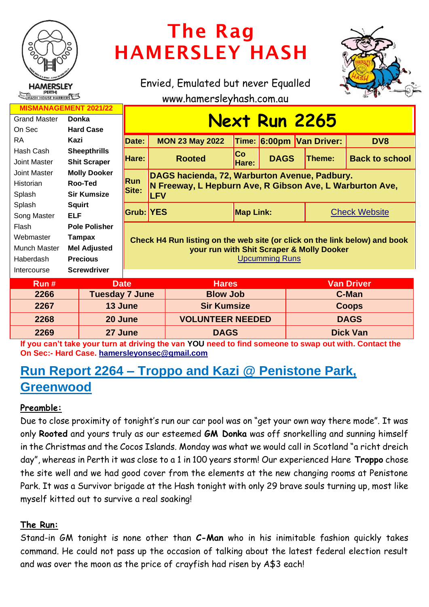

# The Rag HAMERSLEY HASH

Envied, Emulated but never Equalled



www.hamersleyhash.com.au

| <b>MISMANAGEMENT 2021/22</b>  |                      |                                                                                                                         |                                                                         |                    |             |                          |                       |  |
|-------------------------------|----------------------|-------------------------------------------------------------------------------------------------------------------------|-------------------------------------------------------------------------|--------------------|-------------|--------------------------|-----------------------|--|
| <b>Grand Master</b>           | <b>Donka</b>         | <b>Next Run 2265</b>                                                                                                    |                                                                         |                    |             |                          |                       |  |
| On Sec                        | <b>Hard Case</b>     |                                                                                                                         |                                                                         |                    |             |                          |                       |  |
| <b>RA</b>                     | Kazi                 | Date:                                                                                                                   | <b>MON 23 May 2022</b>                                                  |                    |             | Time: 6:00pm Van Driver: | DV8                   |  |
| Hash Cash                     | <b>Sheepthrills</b>  | Hare:                                                                                                                   | <b>Rooted</b>                                                           | <b>Co</b><br>Hare: | <b>DAGS</b> |                          | <b>Back to school</b> |  |
| Joint Master                  | <b>Shit Scraper</b>  |                                                                                                                         |                                                                         |                    |             | <b>Theme:</b>            |                       |  |
| Joint Master                  | <b>Molly Dooker</b>  |                                                                                                                         | DAGS hacienda, 72, Warburton Avenue, Padbury.                           |                    |             |                          |                       |  |
| <b>Historian</b>              | Roo-Ted              | Run                                                                                                                     | N Freeway, L Hepburn Ave, R Gibson Ave, L Warburton Ave,<br><b>ILFV</b> |                    |             |                          |                       |  |
| Splash                        | <b>Sir Kumsize</b>   | Site:                                                                                                                   |                                                                         |                    |             |                          |                       |  |
| Splash                        | <b>Squirt</b>        |                                                                                                                         |                                                                         |                    |             |                          |                       |  |
| Song Master                   | <b>ELF</b>           | <b>Grub: YES</b>                                                                                                        |                                                                         | <b>Map Link:</b>   |             |                          | <b>Check Website</b>  |  |
| Flash                         | <b>Pole Polisher</b> | Check H4 Run listing on the web site (or click on the link below) and book<br>your run with Shit Scraper & Molly Dooker |                                                                         |                    |             |                          |                       |  |
| Webmaster                     | Tampax               |                                                                                                                         |                                                                         |                    |             |                          |                       |  |
| Munch Master                  | <b>Mel Adjusted</b>  |                                                                                                                         |                                                                         |                    |             |                          |                       |  |
| Haberdash                     | <b>Precious</b>      | <b>Upcumming Runs</b>                                                                                                   |                                                                         |                    |             |                          |                       |  |
| Intercourse                   | <b>Screwdriver</b>   |                                                                                                                         |                                                                         |                    |             |                          |                       |  |
| Run#<br><b>Date</b>           |                      |                                                                                                                         | <b>Hares</b>                                                            |                    |             | <b>Van Driver</b>        |                       |  |
| <b>Tuesday 7 June</b><br>2266 |                      |                                                                                                                         |                                                                         | <b>Blow Job</b>    |             | C-Man                    |                       |  |
| 2267<br>13 June               |                      |                                                                                                                         |                                                                         | <b>Sir Kumsize</b> |             | <b>Coops</b>             |                       |  |

| 2268                                                                                                  | 20 June | <b>VOLUNTEER NEEDED</b> | <b>DAGS</b>     |  |  |  |  |  |
|-------------------------------------------------------------------------------------------------------|---------|-------------------------|-----------------|--|--|--|--|--|
| 2269                                                                                                  | 27 June | <b>DAGS</b>             | <b>Dick Van</b> |  |  |  |  |  |
| If you can't take your turn at driving the van YOU need to find someone to swap out with. Contact the |         |                         |                 |  |  |  |  |  |

**On Sec:- Hard Case. [hamersleyonsec@gmail.com](mailto:hamersleyonsec@gmail.com)**

## **Run Report 2264 – Troppo and Kazi @ Penistone Park, Greenwood**

### **Preamble:**

Due to close proximity of tonight's run our car pool was on "get your own way there mode". It was only **Rooted** and yours truly as our esteemed **GM Donka** was off snorkelling and sunning himself in the Christmas and the Cocos Islands. Monday was what we would call in Scotland "a richt dreich day", whereas in Perth it was close to a 1 in 100 years storm! Our experienced Hare **Troppo** chose the site well and we had good cover from the elements at the new changing rooms at Penistone Park. It was a Survivor brigade at the Hash tonight with only 29 brave souls turning up, most like myself kitted out to survive a real soaking!

#### **The Run:**

Stand-in GM tonight is none other than **C-Man** who in his inimitable fashion quickly takes command. He could not pass up the occasion of talking about the latest federal election result and was over the moon as the price of crayfish had risen by A\$3 each!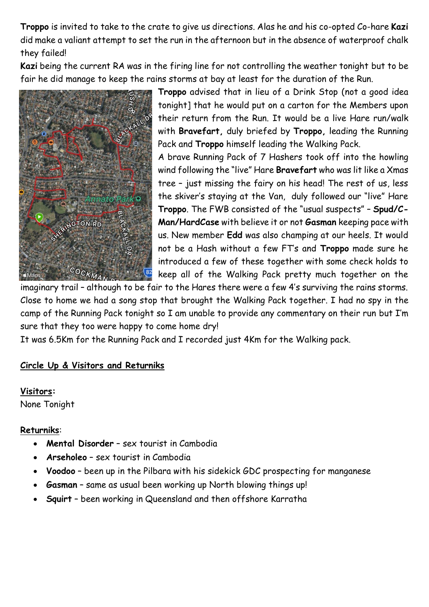**Troppo** is invited to take to the crate to give us directions. Alas he and his co-opted Co-hare **Kazi** did make a valiant attempt to set the run in the afternoon but in the absence of waterproof chalk they failed!

**Kazi** being the current RA was in the firing line for not controlling the weather tonight but to be fair he did manage to keep the rains storms at bay at least for the duration of the Run.



**Troppo** advised that in lieu of a Drink Stop (not a good idea tonight] that he would put on a carton for the Members upon their return from the Run. It would be a live Hare run/walk with **Bravefart,** duly briefed by **Troppo,** leading the Running Pack and **Troppo** himself leading the Walking Pack.

A brave Running Pack of 7 Hashers took off into the howling wind following the "live" Hare **Bravefart** who was lit like a Xmas tree – just missing the fairy on his head! The rest of us, less the skiver's staying at the Van, duly followed our "live" Hare **Troppo**. The FWB consisted of the "usual suspects" – **Spud/C-Man/HardCase** with believe it or not **Gasman** keeping pace with us. New member **Edd** was also champing at our heels. It would not be a Hash without a few FT's and **Troppo** made sure he introduced a few of these together with some check holds to keep all of the Walking Pack pretty much together on the

imaginary trail – although to be fair to the Hares there were a few 4's surviving the rains storms. Close to home we had a song stop that brought the Walking Pack together. I had no spy in the camp of the Running Pack tonight so I am unable to provide any commentary on their run but I'm sure that they too were happy to come home dry!

It was 6.5Km for the Running Pack and I recorded just 4Km for the Walking pack.

#### **Circle Up & Visitors and Returniks**

**Visitors:**  None Tonight

#### **Returniks**:

- **Mental Disorder** sex tourist in Cambodia
- **Arseholeo** sex tourist in Cambodia
- **Voodoo** been up in the Pilbara with his sidekick GDC prospecting for manganese
- **Gasman** same as usual been working up North blowing things up!
- **Squirt** been working in Queensland and then offshore Karratha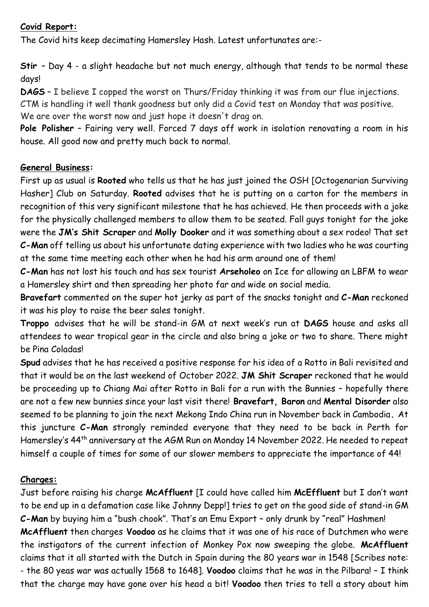#### **Covid Report:**

The Covid hits keep decimating Hamersley Hash. Latest unfortunates are:-

**Stir** – Day 4 - a slight headache but not much energy, although that tends to be normal these days!

**DAGS** – I believe I copped the worst on Thurs/Friday thinking it was from our flue injections. CTM is handling it well thank goodness but only did a Covid test on Monday that was positive. We are over the worst now and just hope it doesn't drag on.

**Pole Polisher** – Fairing very well. Forced 7 days off work in isolation renovating a room in his house. All good now and pretty much back to normal.

#### **General Business:**

First up as usual is **Rooted** who tells us that he has just joined the OSH [Octogenarian Surviving Hasher] Club on Saturday. **Rooted** advises that he is putting on a carton for the members in recognition of this very significant milestone that he has achieved. He then proceeds with a joke for the physically challenged members to allow them to be seated. Fall guys tonight for the joke were the **JM's Shit Scraper** and **Molly Dooker** and it was something about a sex rodeo! That set **C-Man** off telling us about his unfortunate dating experience with two ladies who he was courting at the same time meeting each other when he had his arm around one of them!

**C-Man** has not lost his touch and has sex tourist **Arseholeo** on Ice for allowing an LBFM to wear a Hamersley shirt and then spreading her photo far and wide on social media.

**Bravefart** commented on the super hot jerky as part of the snacks tonight and **C-Man** reckoned it was his ploy to raise the beer sales tonight.

**Troppo** advises that he will be stand-in GM at next week's run at **DAGS** house and asks all attendees to wear tropical gear in the circle and also bring a joke or two to share. There might be Pina Coladas!

**Spud** advises that he has received a positive response for his idea of a Rotto in Bali revisited and that it would be on the last weekend of October 2022. **JM Shit Scraper** reckoned that he would be proceeding up to Chiang Mai after Rotto in Bali for a run with the Bunnies – hopefully there are not a few new bunnies since your last visit there! **Bravefart, Baron** and **Mental Disorder** also seemed to be planning to join the next Mekong Indo China run in November back in Cambodia**.** At this juncture **C-Man** strongly reminded everyone that they need to be back in Perth for Hamersley's 44th anniversary at the AGM Run on Monday 14 November 2022. He needed to repeat himself a couple of times for some of our slower members to appreciate the importance of 44!

#### **Charges:**

Just before raising his charge **McAffluent** [I could have called him **McEffluent** but I don't want to be end up in a defamation case like Johnny Depp!] tries to get on the good side of stand-in GM **C-Man** by buying him a "bush chook". That's an Emu Export – only drunk by "real" Hashmen! **McAffluent** then charges **Voodoo** as he claims that it was one of his race of Dutchmen who were the instigators of the current infection of Monkey Pox now sweeping the globe. **McAffluent** claims that it all started with the Dutch in Spain during the 80 years war in 1548 [Scribes note: - the 80 yeas war was actually 1568 to 1648]. **Voodoo** claims that he was in the Pilbara! – I think that the charge may have gone over his head a bit! **Voodoo** then tries to tell a story about him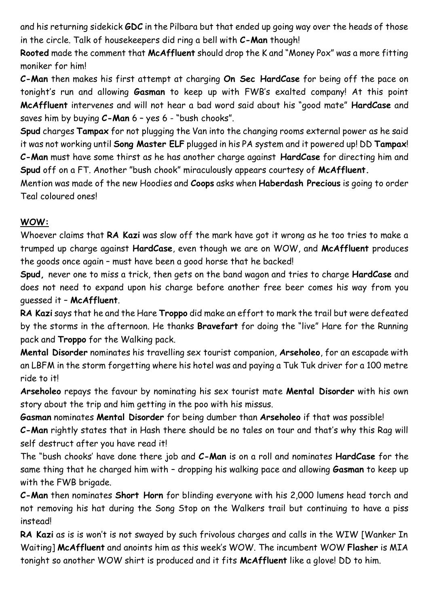and his returning sidekick **GDC** in the Pilbara but that ended up going way over the heads of those in the circle. Talk of housekeepers did ring a bell with **C-Man** though!

**Rooted** made the comment that **McAffluent** should drop the K and "Money Pox" was a more fitting moniker for him!

**C-Man** then makes his first attempt at charging **On Sec HardCase** for being off the pace on tonight's run and allowing **Gasman** to keep up with FWB's exalted company! At this point **McAffluent** intervenes and will not hear a bad word said about his "good mate" **HardCase** and saves him by buying **C-Man** 6 – yes 6 - "bush chooks".

**Spud** charges **Tampax** for not plugging the Van into the changing rooms external power as he said it was not working until **Song Master ELF** plugged in his PA system and it powered up! DD **Tampax**! **C-Man** must have some thirst as he has another charge against **HardCase** for directing him and **Spud** off on a FT. Another "bush chook" miraculously appears courtesy of **McAffluent.**

Mention was made of the new Hoodies and **Coops** asks when **Haberdash Precious** is going to order Teal coloured ones!

#### **WOW:**

Whoever claims that **RA Kazi** was slow off the mark have got it wrong as he too tries to make a trumped up charge against **HardCase**, even though we are on WOW, and **McAffluent** produces the goods once again – must have been a good horse that he backed!

**Spud,** never one to miss a trick, then gets on the band wagon and tries to charge **HardCase** and does not need to expand upon his charge before another free beer comes his way from you guessed it – **McAffluent**.

**RA Kazi** says that he and the Hare **Troppo** did make an effort to mark the trail but were defeated by the storms in the afternoon. He thanks **Bravefart** for doing the "live" Hare for the Running pack and **Troppo** for the Walking pack.

**Mental Disorder** nominates his travelling sex tourist companion, **Arseholeo**, for an escapade with an LBFM in the storm forgetting where his hotel was and paying a Tuk Tuk driver for a 100 metre ride to it!

**Arseholeo** repays the favour by nominating his sex tourist mate **Mental Disorder** with his own story about the trip and him getting in the poo with his missus.

**Gasman** nominates **Mental Disorder** for being dumber than **Arseholeo** if that was possible!

**C-Man** rightly states that in Hash there should be no tales on tour and that's why this Rag will self destruct after you have read it!

The "bush chooks' have done there job and **C-Man** is on a roll and nominates **HardCase** for the same thing that he charged him with – dropping his walking pace and allowing **Gasman** to keep up with the FWB brigade.

**C-Man** then nominates **Short Horn** for blinding everyone with his 2,000 lumens head torch and not removing his hat during the Song Stop on the Walkers trail but continuing to have a piss instead!

**RA Kazi** as is is won't is not swayed by such frivolous charges and calls in the WIW [Wanker In Waiting] **McAffluent** and anoints him as this week's WOW. The incumbent WOW **Flasher** is MIA tonight so another WOW shirt is produced and it fits **McAffluent** like a glove! DD to him.